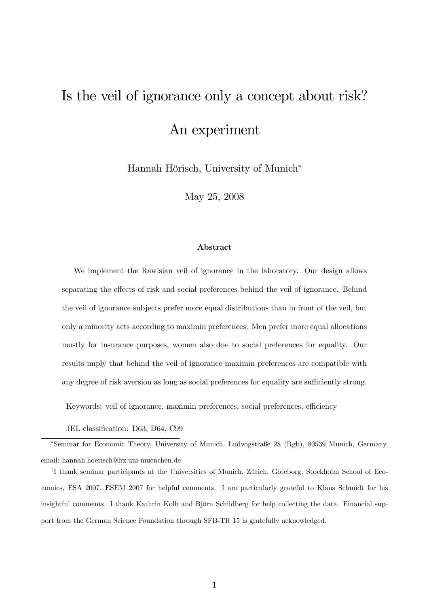# Is the veil of ignorance only a concept about risk? An experiment

Hannah Hörisch, University of Munich<sup>\*†</sup>

May 25, 2008

#### Abstract

We implement the Rawlsian veil of ignorance in the laboratory. Our design allows separating the effects of risk and social preferences behind the veil of ignorance. Behind the veil of ignorance subjects prefer more equal distributions than in front of the veil, but only a minority acts according to maximin preferences. Men prefer more equal allocations mostly for insurance purposes, women also due to social preferences for equality. Our results imply that behind the veil of ignorance maximin preferences are compatible with any degree of risk aversion as long as social preferences for equality are sufficiently strong.

Keywords: veil of ignorance, maximin preferences, social preferences, efficiency

JEL classification: D63, D64, C99

\*Seminar for Economic Theory, University of Munich, Ludwigstraße 28 (Rgb), 80539 Munich, Germany, email: hannah.hoerisch@lrz.uni-muenchen.de

<sup>†</sup>I thank seminar participants at the Universities of Munich, Zürich, Göteborg, Stockholm School of Economics, ESA 2007, ESEM 2007 for helpful comments. I am particularly grateful to Klaus Schmidt for his insightful comments. I thank Kathrin Kolb and Björn Schildberg for help collecting the data. Financial support from the German Science Foundation through SFB-TR 15 is gratefully acknowledged.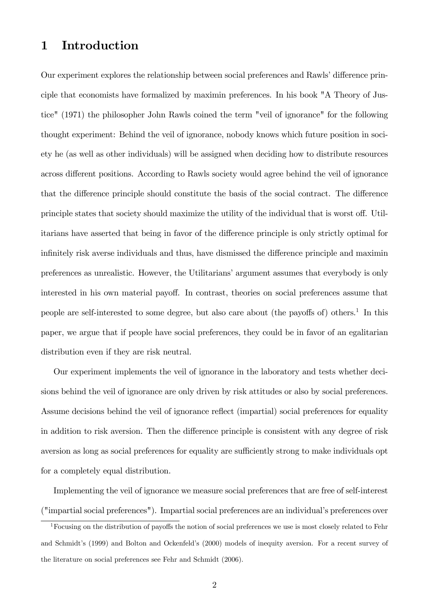## 1 Introduction

Our experiment explores the relationship between social preferences and Rawls' difference principle that economists have formalized by maximin preferences. In his book "A Theory of Justice" (1971) the philosopher John Rawls coined the term "veil of ignorance" for the following thought experiment: Behind the veil of ignorance, nobody knows which future position in society he (as well as other individuals) will be assigned when deciding how to distribute resources across different positions. According to Rawls society would agree behind the veil of ignorance that the difference principle should constitute the basis of the social contract. The difference principle states that society should maximize the utility of the individual that is worst off. Utilitarians have asserted that being in favor of the difference principle is only strictly optimal for infinitely risk averse individuals and thus, have dismissed the difference principle and maximin preferences as unrealistic. However, the Utilitariansíargument assumes that everybody is only interested in his own material payoff. In contrast, theories on social preferences assume that people are self-interested to some degree, but also care about (the payoffs of) others.<sup>1</sup> In this paper, we argue that if people have social preferences, they could be in favor of an egalitarian distribution even if they are risk neutral.

Our experiment implements the veil of ignorance in the laboratory and tests whether decisions behind the veil of ignorance are only driven by risk attitudes or also by social preferences. Assume decisions behind the veil of ignorance reflect (impartial) social preferences for equality in addition to risk aversion. Then the difference principle is consistent with any degree of risk aversion as long as social preferences for equality are sufficiently strong to make individuals opt for a completely equal distribution.

Implementing the veil of ignorance we measure social preferences that are free of self-interest ("impartial social preferences"). Impartial social preferences are an individual's preferences over

<sup>&</sup>lt;sup>1</sup>Focusing on the distribution of payoffs the notion of social preferences we use is most closely related to Fehr and Schmidt's (1999) and Bolton and Ockenfeld's (2000) models of inequity aversion. For a recent survey of the literature on social preferences see Fehr and Schmidt (2006).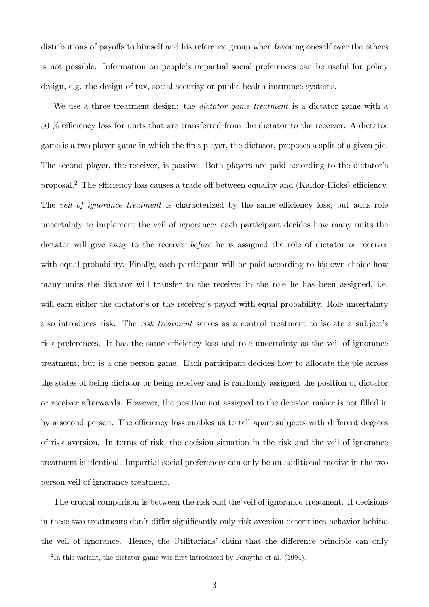distributions of payoffs to himself and his reference group when favoring oneself over the others is not possible. Information on people's impartial social preferences can be useful for policy design, e.g. the design of tax, social security or public health insurance systems.

We use a three treatment design: the *dictator game treatment* is a dictator game with a 50 % efficiency loss for units that are transferred from the dictator to the receiver. A dictator game is a two player game in which the first player, the dictator, proposes a split of a given pie. The second player, the receiver, is passive. Both players are paid according to the dictator's proposal.<sup>2</sup> The efficiency loss causes a trade off between equality and (Kaldor-Hicks) efficiency. The veil of ignorance treatment is characterized by the same efficiency loss, but adds role uncertainty to implement the veil of ignorance: each participant decides how many units the dictator will give away to the receiver before he is assigned the role of dictator or receiver with equal probability. Finally, each participant will be paid according to his own choice how many units the dictator will transfer to the receiver in the role he has been assigned, i.e. will earn either the dictator's or the receiver's payoff with equal probability. Role uncertainty also introduces risk. The *risk treatment* serves as a control treatment to isolate a subject's risk preferences. It has the same efficiency loss and role uncertainty as the veil of ignorance treatment, but is a one person game. Each participant decides how to allocate the pie across the states of being dictator or being receiver and is randomly assigned the position of dictator or receiver afterwards. However, the position not assigned to the decision maker is not Ölled in by a second person. The efficiency loss enables us to tell apart subjects with different degrees of risk aversion. In terms of risk, the decision situation in the risk and the veil of ignorance treatment is identical. Impartial social preferences can only be an additional motive in the two person veil of ignorance treatment.

The crucial comparison is between the risk and the veil of ignorance treatment. If decisions in these two treatments don't differ significantly only risk aversion determines behavior behind the veil of ignorance. Hence, the Utilitarians' claim that the difference principle can only

 ${}^{2}$ In this variant, the dictator game was first introduced by Forsythe et al. (1994).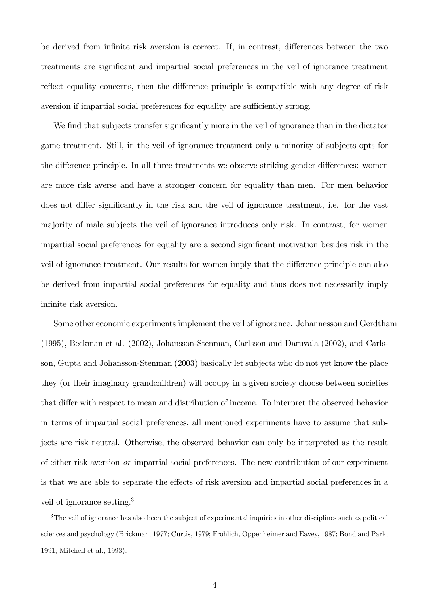be derived from infinite risk aversion is correct. If, in contrast, differences between the two treatments are significant and impartial social preferences in the veil of ignorance treatment reflect equality concerns, then the difference principle is compatible with any degree of risk aversion if impartial social preferences for equality are sufficiently strong.

We find that subjects transfer significantly more in the veil of ignorance than in the dictator game treatment. Still, in the veil of ignorance treatment only a minority of subjects opts for the difference principle. In all three treatments we observe striking gender differences: women are more risk averse and have a stronger concern for equality than men. For men behavior does not differ significantly in the risk and the veil of ignorance treatment, i.e. for the vast majority of male subjects the veil of ignorance introduces only risk. In contrast, for women impartial social preferences for equality are a second significant motivation besides risk in the veil of ignorance treatment. Our results for women imply that the difference principle can also be derived from impartial social preferences for equality and thus does not necessarily imply infinite risk aversion.

Some other economic experiments implement the veil of ignorance. Johannesson and Gerdtham (1995), Beckman et al. (2002), Johansson-Stenman, Carlsson and Daruvala (2002), and Carlsson, Gupta and Johansson-Stenman (2003) basically let subjects who do not yet know the place they (or their imaginary grandchildren) will occupy in a given society choose between societies that differ with respect to mean and distribution of income. To interpret the observed behavior in terms of impartial social preferences, all mentioned experiments have to assume that subjects are risk neutral. Otherwise, the observed behavior can only be interpreted as the result of either risk aversion or impartial social preferences. The new contribution of our experiment is that we are able to separate the effects of risk aversion and impartial social preferences in a veil of ignorance setting.<sup>3</sup>

<sup>&</sup>lt;sup>3</sup>The veil of ignorance has also been the subject of experimental inquiries in other disciplines such as political sciences and psychology (Brickman, 1977; Curtis, 1979; Frohlich, Oppenheimer and Eavey, 1987; Bond and Park, 1991; Mitchell et al., 1993).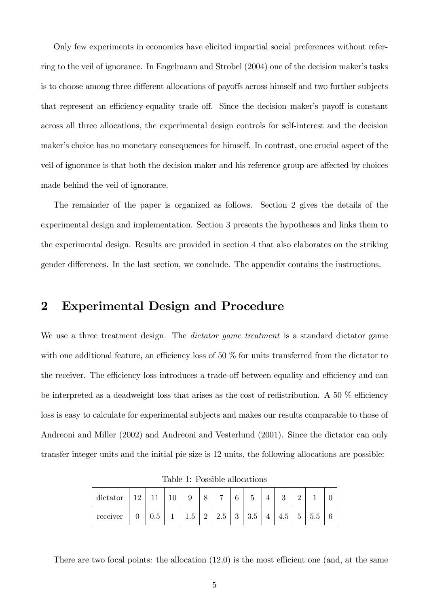Only few experiments in economics have elicited impartial social preferences without referring to the veil of ignorance. In Engelmann and Strobel (2004) one of the decision maker's tasks is to choose among three different allocations of payoffs across himself and two further subjects that represent an efficiency-equality trade off. Since the decision maker's payoff is constant across all three allocations, the experimental design controls for self-interest and the decision maker's choice has no monetary consequences for himself. In contrast, one crucial aspect of the veil of ignorance is that both the decision maker and his reference group are affected by choices made behind the veil of ignorance.

The remainder of the paper is organized as follows. Section 2 gives the details of the experimental design and implementation. Section 3 presents the hypotheses and links them to the experimental design. Results are provided in section 4 that also elaborates on the striking gender differences. In the last section, we conclude. The appendix contains the instructions.

# 2 Experimental Design and Procedure

We use a three treatment design. The *dictator game treatment* is a standard dictator game with one additional feature, an efficiency loss of  $50\%$  for units transferred from the dictator to the receiver. The efficiency loss introduces a trade-off between equality and efficiency and can be interpreted as a deadweight loss that arises as the cost of redistribution. A 50  $\%$  efficiency loss is easy to calculate for experimental subjects and makes our results comparable to those of Andreoni and Miller (2002) and Andreoni and Vesterlund (2001). Since the dictator can only transfer integer units and the initial pie size is 12 units, the following allocations are possible:

| dictator $\parallel$ 12 $\parallel$ |     |                                                   |  |  |                |     |       |  |
|-------------------------------------|-----|---------------------------------------------------|--|--|----------------|-----|-------|--|
| receiver                            | 0.5 | $1 \mid 1.5 \mid 2 \mid 2.5 \mid 3 \mid 3.5 \mid$ |  |  | $\overline{4}$ | 4.5 | 5 5.5 |  |

Table 1: Possible allocations

There are two focal points: the allocation  $(12,0)$  is the most efficient one (and, at the same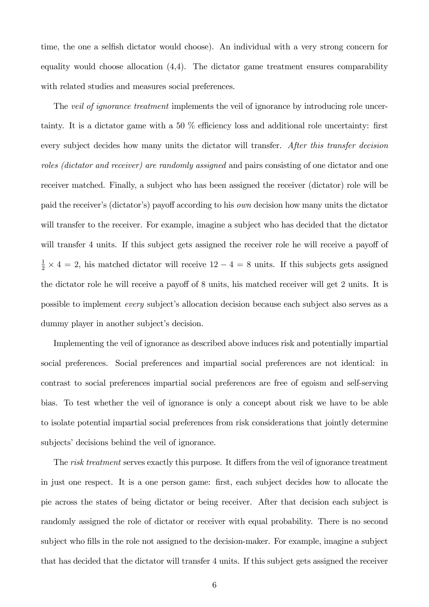time, the one a selfish dictator would choose). An individual with a very strong concern for equality would choose allocation (4,4). The dictator game treatment ensures comparability with related studies and measures social preferences.

The *veil of ignorance treatment* implements the veil of ignorance by introducing role uncertainty. It is a dictator game with a 50  $\%$  efficiency loss and additional role uncertainty: first every subject decides how many units the dictator will transfer. After this transfer decision roles (dictator and receiver) are randomly assigned and pairs consisting of one dictator and one receiver matched. Finally, a subject who has been assigned the receiver (dictator) role will be paid the receiver's (dictator's) payoff according to his *own* decision how many units the dictator will transfer to the receiver. For example, imagine a subject who has decided that the dictator will transfer 4 units. If this subject gets assigned the receiver role he will receive a payoff of  $\frac{1}{2} \times 4 = 2$ , his matched dictator will receive  $12 - 4 = 8$  units. If this subjects gets assigned the dictator role he will receive a payoff of 8 units, his matched receiver will get 2 units. It is possible to implement *every* subject's allocation decision because each subject also serves as a dummy player in another subject's decision.

Implementing the veil of ignorance as described above induces risk and potentially impartial social preferences. Social preferences and impartial social preferences are not identical: in contrast to social preferences impartial social preferences are free of egoism and self-serving bias. To test whether the veil of ignorance is only a concept about risk we have to be able to isolate potential impartial social preferences from risk considerations that jointly determine subjects' decisions behind the veil of ignorance.

The risk treatment serves exactly this purpose. It differs from the veil of ignorance treatment in just one respect. It is a one person game: Örst, each subject decides how to allocate the pie across the states of being dictator or being receiver. After that decision each subject is randomly assigned the role of dictator or receiver with equal probability. There is no second subject who fills in the role not assigned to the decision-maker. For example, imagine a subject that has decided that the dictator will transfer 4 units. If this subject gets assigned the receiver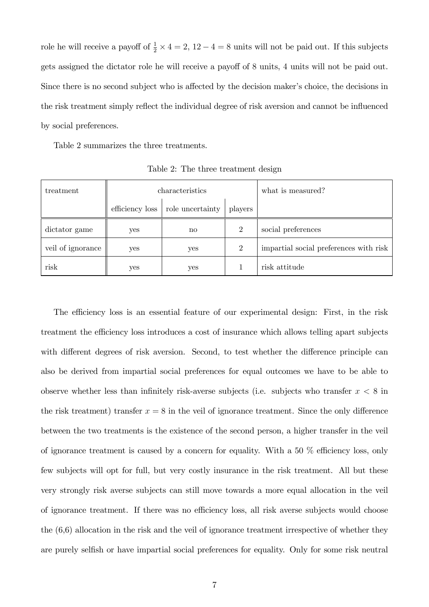role he will receive a payoff of  $\frac{1}{2} \times 4 = 2$ ,  $12 - 4 = 8$  units will not be paid out. If this subjects gets assigned the dictator role he will receive a payoff of 8 units, 4 units will not be paid out. Since there is no second subject who is affected by the decision maker's choice, the decisions in the risk treatment simply reflect the individual degree of risk aversion and cannot be influenced by social preferences.

Table 2 summarizes the three treatments.

| treatment         |                 | characteristics        | what is measured? |                                        |
|-------------------|-----------------|------------------------|-------------------|----------------------------------------|
|                   | efficiency loss | role uncertainty       | players           |                                        |
| dictator game     | yes             | $\mathbf{n}\mathbf{o}$ | $\overline{2}$    | social preferences                     |
| veil of ignorance | yes             | yes                    | 2                 | impartial social preferences with risk |
| risk              | yes             | yes                    |                   | risk attitude                          |

Table 2: The three treatment design

The efficiency loss is an essential feature of our experimental design: First, in the risk treatment the efficiency loss introduces a cost of insurance which allows telling apart subjects with different degrees of risk aversion. Second, to test whether the difference principle can also be derived from impartial social preferences for equal outcomes we have to be able to observe whether less than infinitely risk-averse subjects (i.e. subjects who transfer  $x < 8$  in the risk treatment) transfer  $x = 8$  in the veil of ignorance treatment. Since the only difference between the two treatments is the existence of the second person, a higher transfer in the veil of ignorance treatment is caused by a concern for equality. With a  $50\%$  efficiency loss, only few subjects will opt for full, but very costly insurance in the risk treatment. All but these very strongly risk averse subjects can still move towards a more equal allocation in the veil of ignorance treatment. If there was no efficiency loss, all risk averse subjects would choose the (6,6) allocation in the risk and the veil of ignorance treatment irrespective of whether they are purely selfish or have impartial social preferences for equality. Only for some risk neutral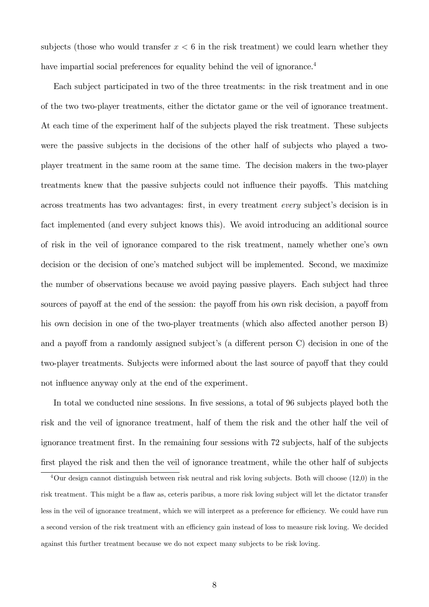subjects (those who would transfer  $x < 6$  in the risk treatment) we could learn whether they have impartial social preferences for equality behind the veil of ignorance.<sup>4</sup>

Each subject participated in two of the three treatments: in the risk treatment and in one of the two two-player treatments, either the dictator game or the veil of ignorance treatment. At each time of the experiment half of the subjects played the risk treatment. These subjects were the passive subjects in the decisions of the other half of subjects who played a twoplayer treatment in the same room at the same time. The decision makers in the two-player treatments knew that the passive subjects could not influence their payoffs. This matching across treatments has two advantages: first, in every treatment every subject's decision is in fact implemented (and every subject knows this). We avoid introducing an additional source of risk in the veil of ignorance compared to the risk treatment, namely whether oneís own decision or the decision of one's matched subject will be implemented. Second, we maximize the number of observations because we avoid paying passive players. Each subject had three sources of payoff at the end of the session: the payoff from his own risk decision, a payoff from his own decision in one of the two-player treatments (which also affected another person  $B$ ) and a payoff from a randomly assigned subject's (a different person  $C$ ) decision in one of the two-player treatments. Subjects were informed about the last source of payoff that they could not influence anyway only at the end of the experiment.

In total we conducted nine sessions. In five sessions, a total of 96 subjects played both the risk and the veil of ignorance treatment, half of them the risk and the other half the veil of ignorance treatment Örst. In the remaining four sessions with 72 subjects, half of the subjects first played the risk and then the veil of ignorance treatment, while the other half of subjects

 $4$ Our design cannot distinguish between risk neutral and risk loving subjects. Both will choose  $(12,0)$  in the risk treatment. This might be a flaw as, ceteris paribus, a more risk loving subject will let the dictator transfer less in the veil of ignorance treatment, which we will interpret as a preference for efficiency. We could have run a second version of the risk treatment with an efficiency gain instead of loss to measure risk loving. We decided against this further treatment because we do not expect many subjects to be risk loving.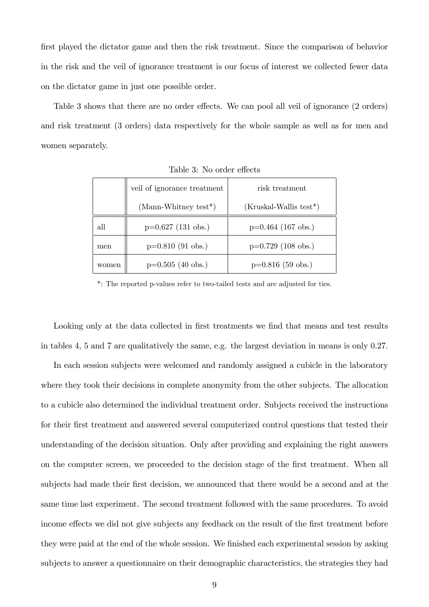first played the dictator game and then the risk treatment. Since the comparison of behavior in the risk and the veil of ignorance treatment is our focus of interest we collected fewer data on the dictator game in just one possible order.

Table 3 shows that there are no order effects. We can pool all veil of ignorance (2 orders) and risk treatment (3 orders) data respectively for the whole sample as well as for men and women separately.

|       | veil of ignorance treatment | risk treatment           |
|-------|-----------------------------|--------------------------|
|       |                             |                          |
|       | $(Mann-Whitney test*)$      | $(Kruskal-Wallis test*)$ |
| all   | $p=0.627$ (131 obs.)        | $p=0.464$ (167 obs.)     |
| men   | $p=0.810$ (91 obs.)         | $p=0.729$ (108 obs.)     |
| women | $p=0.505$ (40 obs.)         | $p=0.816$ (59 obs.)      |

Table 3: No order effects

\*: The reported p-values refer to two-tailed tests and are adjusted for ties.

Looking only at the data collected in first treatments we find that means and test results in tables 4, 5 and 7 are qualitatively the same, e.g. the largest deviation in means is only 0.27.

In each session subjects were welcomed and randomly assigned a cubicle in the laboratory where they took their decisions in complete anonymity from the other subjects. The allocation to a cubicle also determined the individual treatment order. Subjects received the instructions for their first treatment and answered several computerized control questions that tested their understanding of the decision situation. Only after providing and explaining the right answers on the computer screen, we proceeded to the decision stage of the first treatment. When all subjects had made their first decision, we announced that there would be a second and at the same time last experiment. The second treatment followed with the same procedures. To avoid income effects we did not give subjects any feedback on the result of the first treatment before they were paid at the end of the whole session. We finished each experimental session by asking subjects to answer a questionnaire on their demographic characteristics, the strategies they had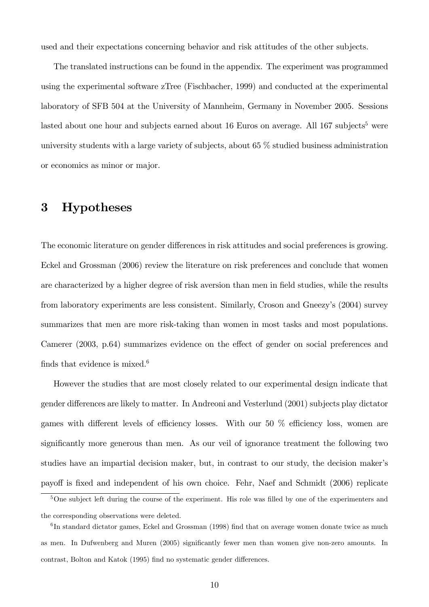used and their expectations concerning behavior and risk attitudes of the other subjects.

The translated instructions can be found in the appendix. The experiment was programmed using the experimental software zTree (Fischbacher, 1999) and conducted at the experimental laboratory of SFB 504 at the University of Mannheim, Germany in November 2005. Sessions lasted about one hour and subjects earned about 16 Euros on average. All  $167$  subjects<sup>5</sup> were university students with a large variety of subjects, about 65 % studied business administration or economics as minor or major.

## 3 Hypotheses

The economic literature on gender differences in risk attitudes and social preferences is growing. Eckel and Grossman (2006) review the literature on risk preferences and conclude that women are characterized by a higher degree of risk aversion than men in field studies, while the results from laboratory experiments are less consistent. Similarly, Croson and Gneezyís (2004) survey summarizes that men are more risk-taking than women in most tasks and most populations. Camerer (2003, p.64) summarizes evidence on the effect of gender on social preferences and finds that evidence is mixed. $6$ 

However the studies that are most closely related to our experimental design indicate that gender differences are likely to matter. In Andreoni and Vesterlund (2001) subjects play dictator games with different levels of efficiency losses. With our 50  $\%$  efficiency loss, women are significantly more generous than men. As our veil of ignorance treatment the following two studies have an impartial decision maker, but, in contrast to our study, the decision makerís payoff is fixed and independent of his own choice. Fehr, Naef and Schmidt (2006) replicate

 $5$ One subject left during the course of the experiment. His role was filled by one of the experimenters and the corresponding observations were deleted.

 ${}^{6}$ In standard dictator games, Eckel and Grossman (1998) find that on average women donate twice as much as men. In Dufwenberg and Muren (2005) significantly fewer men than women give non-zero amounts. In contrast, Bolton and Katok (1995) find no systematic gender differences.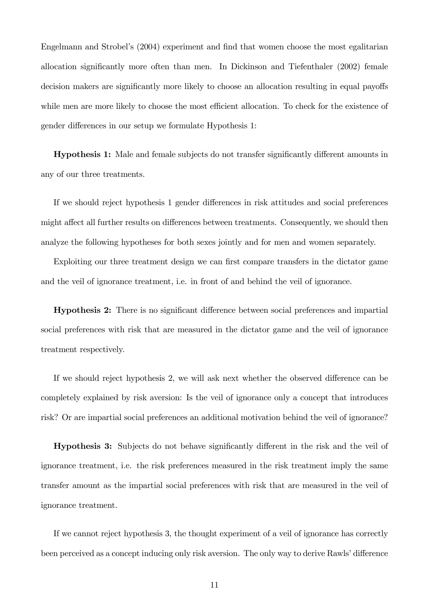Engelmann and Strobel's (2004) experiment and find that women choose the most egalitarian allocation significantly more often than men. In Dickinson and Tiefenthaler (2002) female decision makers are significantly more likely to choose an allocation resulting in equal payoffs while men are more likely to choose the most efficient allocation. To check for the existence of gender differences in our setup we formulate Hypothesis 1:

**Hypothesis 1:** Male and female subjects do not transfer significantly different amounts in any of our three treatments.

If we should reject hypothesis 1 gender differences in risk attitudes and social preferences might affect all further results on differences between treatments. Consequently, we should then analyze the following hypotheses for both sexes jointly and for men and women separately.

Exploiting our three treatment design we can first compare transfers in the dictator game and the veil of ignorance treatment, i.e. in front of and behind the veil of ignorance.

**Hypothesis 2:** There is no significant difference between social preferences and impartial social preferences with risk that are measured in the dictator game and the veil of ignorance treatment respectively.

If we should reject hypothesis 2, we will ask next whether the observed difference can be completely explained by risk aversion: Is the veil of ignorance only a concept that introduces risk? Or are impartial social preferences an additional motivation behind the veil of ignorance?

Hypothesis 3: Subjects do not behave significantly different in the risk and the veil of ignorance treatment, i.e. the risk preferences measured in the risk treatment imply the same transfer amount as the impartial social preferences with risk that are measured in the veil of ignorance treatment.

If we cannot reject hypothesis 3, the thought experiment of a veil of ignorance has correctly been perceived as a concept inducing only risk aversion. The only way to derive Rawls' difference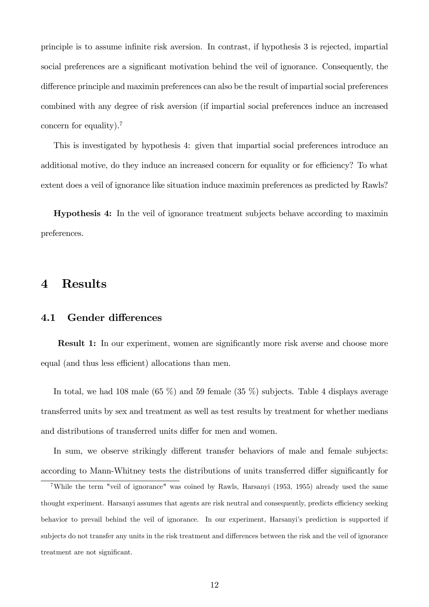principle is to assume inÖnite risk aversion. In contrast, if hypothesis 3 is rejected, impartial social preferences are a significant motivation behind the veil of ignorance. Consequently, the difference principle and maximin preferences can also be the result of impartial social preferences combined with any degree of risk aversion (if impartial social preferences induce an increased concern for equality).<sup>7</sup>

This is investigated by hypothesis 4: given that impartial social preferences introduce an additional motive, do they induce an increased concern for equality or for efficiency? To what extent does a veil of ignorance like situation induce maximin preferences as predicted by Rawls?

Hypothesis 4: In the veil of ignorance treatment subjects behave according to maximin preferences.

## 4 Results

#### 4.1 Gender differences

**Result 1:** In our experiment, women are significantly more risk averse and choose more equal (and thus less efficient) allocations than men.

In total, we had 108 male  $(65 \%)$  and 59 female  $(35 \%)$  subjects. Table 4 displays average transferred units by sex and treatment as well as test results by treatment for whether medians and distributions of transferred units differ for men and women.

In sum, we observe strikingly different transfer behaviors of male and female subjects: according to Mann-Whitney tests the distributions of units transferred differ significantly for

<sup>7</sup>While the term "veil of ignorance" was coined by Rawls, Harsanyi (1953, 1955) already used the same thought experiment. Harsanyi assumes that agents are risk neutral and consequently, predicts efficiency seeking behavior to prevail behind the veil of ignorance. In our experiment, Harsanyi's prediction is supported if subjects do not transfer any units in the risk treatment and differences between the risk and the veil of ignorance treatment are not significant.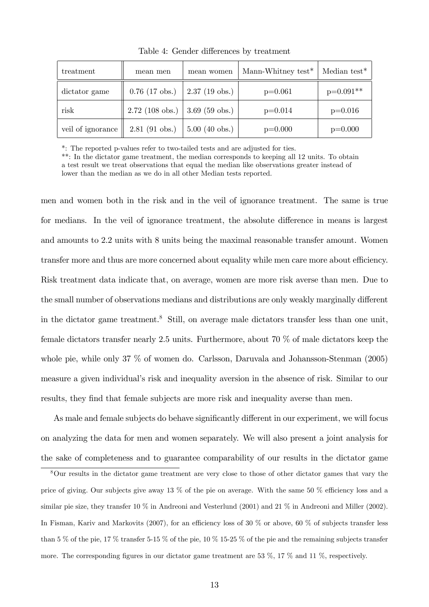| treatment         | mean men          | mean women              | Mann-Whitney test $*$ | Median test $*$ |
|-------------------|-------------------|-------------------------|-----------------------|-----------------|
| dictator game     | $0.76$ (17 obs.)  | $2.37(19 \text{ obs.})$ | $p=0.061$             | $p=0.091**$     |
| risk              | $2.72$ (108 obs.) | $3.69$ (59 obs.)        | $p=0.014$             | $p=0.016$       |
| veil of ignorance | $2.81$ (91 obs.)  | $5.00$ (40 obs.)        | $p=0.000$             | $p=0.000$       |

Table 4: Gender differences by treatment

\*: The reported p-values refer to two-tailed tests and are adjusted for ties.

\*\*: In the dictator game treatment, the median corresponds to keeping all 12 units. To obtain a test result we treat observations that equal the median like observations greater instead of lower than the median as we do in all other Median tests reported.

men and women both in the risk and in the veil of ignorance treatment. The same is true for medians. In the veil of ignorance treatment, the absolute difference in means is largest and amounts to 2.2 units with 8 units being the maximal reasonable transfer amount. Women transfer more and thus are more concerned about equality while men care more about efficiency. Risk treatment data indicate that, on average, women are more risk averse than men. Due to the small number of observations medians and distributions are only weakly marginally different in the dictator game treatment.<sup>8</sup> Still, on average male dictators transfer less than one unit, female dictators transfer nearly 2.5 units. Furthermore, about 70 % of male dictators keep the whole pie, while only 37 % of women do. Carlsson, Daruvala and Johansson-Stenman (2005) measure a given individual's risk and inequality aversion in the absence of risk. Similar to our results, they find that female subjects are more risk and inequality averse than men.

As male and female subjects do behave significantly different in our experiment, we will focus on analyzing the data for men and women separately. We will also present a joint analysis for the sake of completeness and to guarantee comparability of our results in the dictator game

<sup>8</sup>Our results in the dictator game treatment are very close to those of other dictator games that vary the price of giving. Our subjects give away 13 % of the pie on average. With the same 50 % efficiency loss and a similar pie size, they transfer 10 % in Andreoni and Vesterlund (2001) and 21 % in Andreoni and Miller (2002). In Fisman, Kariv and Markovits (2007), for an efficiency loss of 30 % or above, 60 % of subjects transfer less than 5 % of the pie, 17 % transfer 5-15 % of the pie, 10 % 15-25 % of the pie and the remaining subjects transfer more. The corresponding figures in our dictator game treatment are 53  $\%$ , 17  $\%$  and 11  $\%$ , respectively.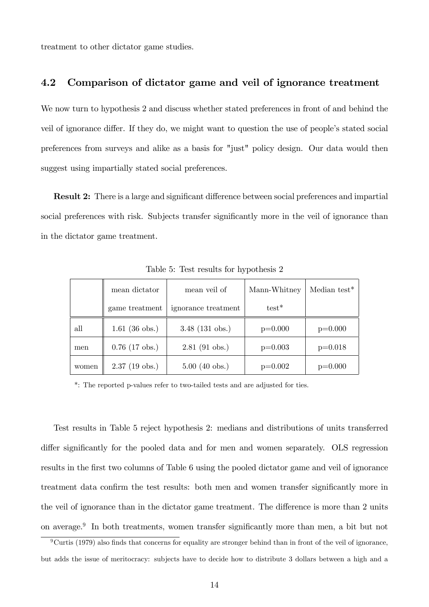treatment to other dictator game studies.

## 4.2 Comparison of dictator game and veil of ignorance treatment

We now turn to hypothesis 2 and discuss whether stated preferences in front of and behind the veil of ignorance differ. If they do, we might want to question the use of people's stated social preferences from surveys and alike as a basis for "just" policy design. Our data would then suggest using impartially stated social preferences.

**Result 2:** There is a large and significant difference between social preferences and impartial social preferences with risk. Subjects transfer significantly more in the veil of ignorance than in the dictator game treatment.

|       | mean dictator           | mean veil of        | Mann-Whitney | Median test $*$ |
|-------|-------------------------|---------------------|--------------|-----------------|
|       | game treatment          | ignorance treatment | $test*$      |                 |
| all   | $1.61$ (36 obs.)        | $3.48$ (131 obs.)   | $p=0.000$    | $p=0.000$       |
| men   | $0.76$ (17 obs.)        | $2.81$ (91 obs.)    | $p=0.003$    | $p=0.018$       |
| women | $2.37(19 \text{ obs.})$ | $5.00$ (40 obs.)    | $p=0.002$    | $p=0.000$       |

Table 5: Test results for hypothesis 2

\*: The reported p-values refer to two-tailed tests and are adjusted for ties.

Test results in Table 5 reject hypothesis 2: medians and distributions of units transferred differ significantly for the pooled data and for men and women separately. OLS regression results in the first two columns of Table 6 using the pooled dictator game and veil of ignorance treatment data confirm the test results: both men and women transfer significantly more in the veil of ignorance than in the dictator game treatment. The difference is more than 2 units on average.<sup>9</sup> In both treatments, women transfer significantly more than men, a bit but not

 $9^9$ Curtis (1979) also finds that concerns for equality are stronger behind than in front of the veil of ignorance, but adds the issue of meritocracy: subjects have to decide how to distribute 3 dollars between a high and a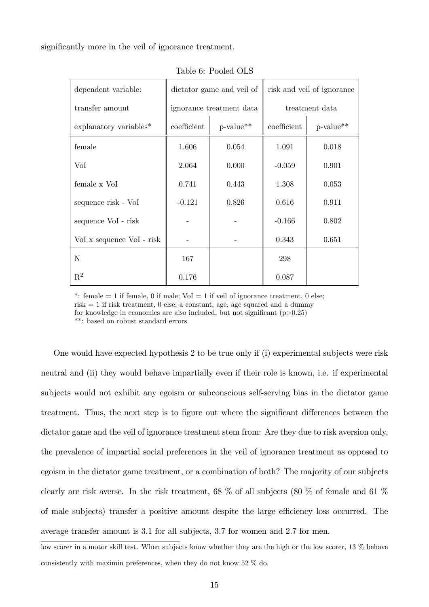significantly more in the veil of ignorance treatment.

| dependent variable:       |                          | dictator game and veil of | risk and veil of ignorance |           |  |  |
|---------------------------|--------------------------|---------------------------|----------------------------|-----------|--|--|
| transfer amount           | ignorance treatment data | treatment data            |                            |           |  |  |
| explanatory variables*    | coefficient              | p-value**                 | coefficient                | p-value** |  |  |
| female                    | 1.606                    | 0.054                     | 1.091                      | 0.018     |  |  |
| VoI                       | 2.064                    | 0.000                     | $-0.059$                   | 0.901     |  |  |
| female x VoI              | 0.741                    | 0.443                     | 1.308                      | 0.053     |  |  |
| sequence risk - VoI       | $-0.121$                 | 0.826                     | 0.616                      | 0.911     |  |  |
| sequence VoI - risk       |                          |                           | $-0.166$                   | 0.802     |  |  |
| Vol x sequence Vol - risk |                          |                           | 0.343                      | 0.651     |  |  |
| $\mathbf N$               | 167                      |                           | 298                        |           |  |  |
| $\mathbf{R}^2$            | 0.176                    |                           | 0.087                      |           |  |  |

Table 6: Pooled OLS

\*: female  $= 1$  if female, 0 if male; VoI  $= 1$  if veil of ignorance treatment, 0 else; risk  $= 1$  if risk treatment, 0 else; a constant, age, age squared and a dummy

for knowledge in economics are also included, but not significant  $(p>0.25)$ 

\*\*: based on robust standard errors

One would have expected hypothesis 2 to be true only if (i) experimental subjects were risk neutral and (ii) they would behave impartially even if their role is known, i.e. if experimental subjects would not exhibit any egoism or subconscious self-serving bias in the dictator game treatment. Thus, the next step is to figure out where the significant differences between the dictator game and the veil of ignorance treatment stem from: Are they due to risk aversion only, the prevalence of impartial social preferences in the veil of ignorance treatment as opposed to egoism in the dictator game treatment, or a combination of both? The majority of our subjects clearly are risk averse. In the risk treatment, 68 % of all subjects (80 % of female and 61 % of male subjects) transfer a positive amount despite the large efficiency loss occurred. The average transfer amount is 3.1 for all subjects, 3.7 for women and 2.7 for men.

low scorer in a motor skill test. When subjects know whether they are the high or the low scorer, 13 % behave consistently with maximin preferences, when they do not know 52 % do.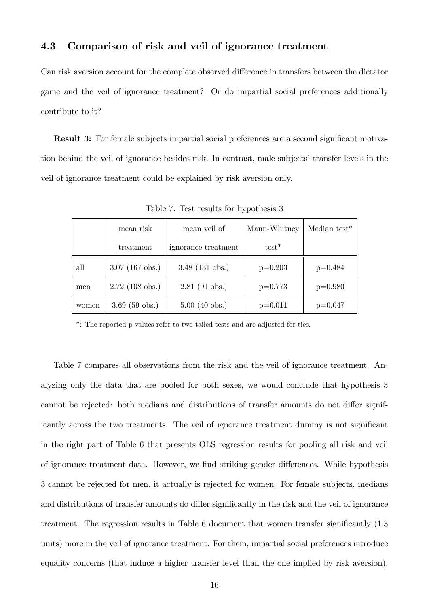## 4.3 Comparison of risk and veil of ignorance treatment

Can risk aversion account for the complete observed difference in transfers between the dictator game and the veil of ignorance treatment? Or do impartial social preferences additionally contribute to it?

**Result 3:** For female subjects impartial social preferences are a second significant motivation behind the veil of ignorance besides risk. In contrast, male subjects' transfer levels in the veil of ignorance treatment could be explained by risk aversion only.

|       | mean risk         | mean veil of        | Mann-Whitney | Median test <sup>*</sup> |
|-------|-------------------|---------------------|--------------|--------------------------|
|       | treatment         | ignorance treatment | $test*$      |                          |
| all   | $3.07$ (167 obs.) | $3.48$ (131 obs.)   | $p=0.203$    | $p=0.484$                |
| men   | $2.72$ (108 obs.) | $2.81$ (91 obs.)    | $p=0.773$    | $p=0.980$                |
| women | $3.69$ (59 obs.)  | $5.00$ (40 obs.)    | $p=0.011$    | $p=0.047$                |

Table 7: Test results for hypothesis 3

\*: The reported p-values refer to two-tailed tests and are adjusted for ties.

Table 7 compares all observations from the risk and the veil of ignorance treatment. Analyzing only the data that are pooled for both sexes, we would conclude that hypothesis 3 cannot be rejected: both medians and distributions of transfer amounts do not differ significantly across the two treatments. The veil of ignorance treatment dummy is not significant in the right part of Table 6 that presents OLS regression results for pooling all risk and veil of ignorance treatment data. However, we find striking gender differences. While hypothesis 3 cannot be rejected for men, it actually is rejected for women. For female subjects, medians and distributions of transfer amounts do differ significantly in the risk and the veil of ignorance treatment. The regression results in Table  $6$  document that women transfer significantly  $(1.3)$ units) more in the veil of ignorance treatment. For them, impartial social preferences introduce equality concerns (that induce a higher transfer level than the one implied by risk aversion).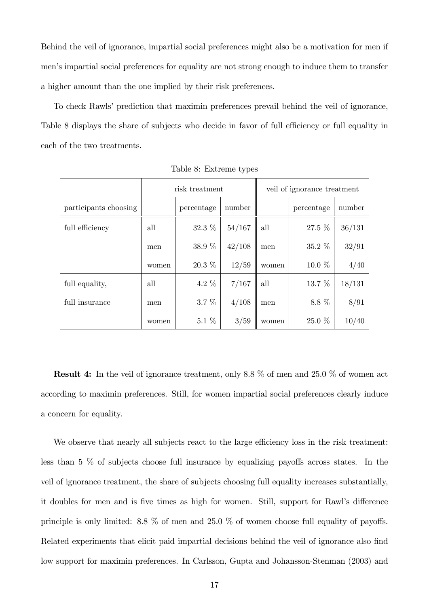Behind the veil of ignorance, impartial social preferences might also be a motivation for men if men's impartial social preferences for equality are not strong enough to induce them to transfer a higher amount than the one implied by their risk preferences.

To check Rawls' prediction that maximin preferences prevail behind the veil of ignorance, Table 8 displays the share of subjects who decide in favor of full efficiency or full equality in each of the two treatments.

|                       |       | risk treatment |        |       | veil of ignorance treatment<br>percentage<br>27.5 %<br>$35.2\%$<br>10.0 %<br>13.7 %<br>8.8 % |        |
|-----------------------|-------|----------------|--------|-------|----------------------------------------------------------------------------------------------|--------|
| participants choosing |       | percentage     | number |       |                                                                                              | number |
| full efficiency       | all   | $32.3~\%$      | 54/167 | all   |                                                                                              | 36/131 |
|                       | men   | 38.9 %         | 42/108 | men   |                                                                                              | 32/91  |
|                       | women | $20.3\%$       | 12/59  | women |                                                                                              | 4/40   |
| full equality,        | all   | 4.2 $%$        | 7/167  | all   |                                                                                              | 18/131 |
| full insurance        | men   | $3.7\%$        | 4/108  | men   |                                                                                              | 8/91   |
|                       | women | $5.1\%$        | 3/59   | women | 25.0 %                                                                                       | 10/40  |

Table 8: Extreme types

Result 4: In the veil of ignorance treatment, only 8.8 % of men and 25.0 % of women act according to maximin preferences. Still, for women impartial social preferences clearly induce a concern for equality.

We observe that nearly all subjects react to the large efficiency loss in the risk treatment: less than  $5\%$  of subjects choose full insurance by equalizing payoffs across states. In the veil of ignorance treatment, the share of subjects choosing full equality increases substantially, it doubles for men and is five times as high for women. Still, support for Rawl's difference principle is only limited: 8.8 % of men and 25.0 % of women choose full equality of payoffs. Related experiments that elicit paid impartial decisions behind the veil of ignorance also find low support for maximin preferences. In Carlsson, Gupta and Johansson-Stenman (2003) and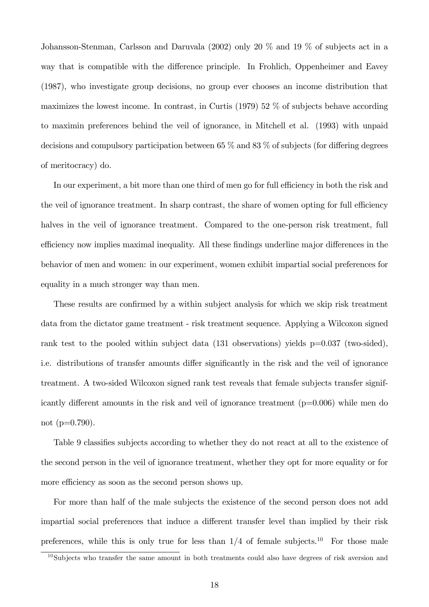Johansson-Stenman, Carlsson and Daruvala (2002) only 20 % and 19 % of subjects act in a way that is compatible with the difference principle. In Frohlich, Oppenheimer and Eavey (1987), who investigate group decisions, no group ever chooses an income distribution that maximizes the lowest income. In contrast, in Curtis (1979) 52 % of subjects behave according to maximin preferences behind the veil of ignorance, in Mitchell et al. (1993) with unpaid decisions and compulsory participation between 65  $\%$  and 83  $\%$  of subjects (for differing degrees of meritocracy) do.

In our experiment, a bit more than one third of men go for full efficiency in both the risk and the veil of ignorance treatment. In sharp contrast, the share of women opting for full efficiency halves in the veil of ignorance treatment. Compared to the one-person risk treatment, full efficiency now implies maximal inequality. All these findings underline major differences in the behavior of men and women: in our experiment, women exhibit impartial social preferences for equality in a much stronger way than men.

These results are confirmed by a within subject analysis for which we skip risk treatment data from the dictator game treatment - risk treatment sequence. Applying a Wilcoxon signed rank test to the pooled within subject data (131 observations) yields p=0.037 (two-sided), i.e. distributions of transfer amounts differ significantly in the risk and the veil of ignorance treatment. A two-sided Wilcoxon signed rank test reveals that female subjects transfer significantly different amounts in the risk and veil of ignorance treatment  $(p=0.006)$  while men do not  $(p=0.790)$ .

Table 9 classifies subjects according to whether they do not react at all to the existence of the second person in the veil of ignorance treatment, whether they opt for more equality or for more efficiency as soon as the second person shows up.

For more than half of the male subjects the existence of the second person does not add impartial social preferences that induce a different transfer level than implied by their risk preferences, while this is only true for less than  $1/4$  of female subjects.<sup>10</sup> For those male

 $10S$ ubjects who transfer the same amount in both treatments could also have degrees of risk aversion and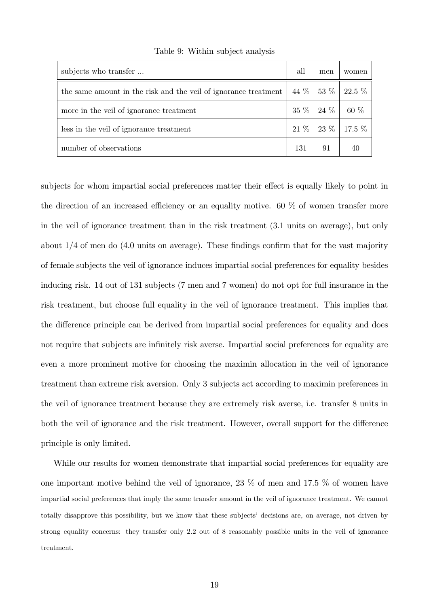| subjects who transfer                                                                                     | all | men | women              |
|-----------------------------------------------------------------------------------------------------------|-----|-----|--------------------|
| the same amount in the risk and the veil of ignorance treatment $\parallel$ 44 $\%$   53 $\%$   22.5 $\%$ |     |     |                    |
| more in the veil of ignorance treatment                                                                   |     |     | $35\%$ 24 % 60 %   |
| less in the veil of ignorance treatment                                                                   |     |     | $21\%$ 23 % 17.5 % |
| number of observations                                                                                    | 131 | 91  |                    |

Table 9: Within subject analysis

subjects for whom impartial social preferences matter their effect is equally likely to point in the direction of an increased efficiency or an equality motive. 60  $\%$  of women transfer more in the veil of ignorance treatment than in the risk treatment (3.1 units on average), but only about  $1/4$  of men do  $(4.0 \text{ units on average})$ . These findings confirm that for the vast majority of female subjects the veil of ignorance induces impartial social preferences for equality besides inducing risk. 14 out of 131 subjects (7 men and 7 women) do not opt for full insurance in the risk treatment, but choose full equality in the veil of ignorance treatment. This implies that the difference principle can be derived from impartial social preferences for equality and does not require that subjects are infinitely risk averse. Impartial social preferences for equality are even a more prominent motive for choosing the maximin allocation in the veil of ignorance treatment than extreme risk aversion. Only 3 subjects act according to maximin preferences in the veil of ignorance treatment because they are extremely risk averse, i.e. transfer 8 units in both the veil of ignorance and the risk treatment. However, overall support for the difference principle is only limited.

While our results for women demonstrate that impartial social preferences for equality are one important motive behind the veil of ignorance, 23 % of men and 17.5 % of women have impartial social preferences that imply the same transfer amount in the veil of ignorance treatment. We cannot totally disapprove this possibility, but we know that these subjectsí decisions are, on average, not driven by strong equality concerns: they transfer only 2.2 out of 8 reasonably possible units in the veil of ignorance treatment.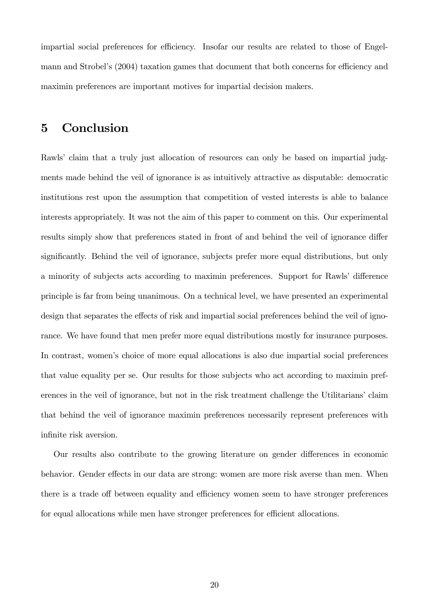impartial social preferences for efficiency. Insofar our results are related to those of Engelmann and Strobel's (2004) taxation games that document that both concerns for efficiency and maximin preferences are important motives for impartial decision makers.

# 5 Conclusion

Rawls' claim that a truly just allocation of resources can only be based on impartial judgments made behind the veil of ignorance is as intuitively attractive as disputable: democratic institutions rest upon the assumption that competition of vested interests is able to balance interests appropriately. It was not the aim of this paper to comment on this. Our experimental results simply show that preferences stated in front of and behind the veil of ignorance differ significantly. Behind the veil of ignorance, subjects prefer more equal distributions, but only a minority of subjects acts according to maximin preferences. Support for Rawls' difference principle is far from being unanimous. On a technical level, we have presented an experimental design that separates the effects of risk and impartial social preferences behind the veil of ignorance. We have found that men prefer more equal distributions mostly for insurance purposes. In contrast, women's choice of more equal allocations is also due impartial social preferences that value equality per se. Our results for those subjects who act according to maximin preferences in the veil of ignorance, but not in the risk treatment challenge the Utilitarians' claim that behind the veil of ignorance maximin preferences necessarily represent preferences with infinite risk aversion.

Our results also contribute to the growing literature on gender differences in economic behavior. Gender effects in our data are strong: women are more risk averse than men. When there is a trade off between equality and efficiency women seem to have stronger preferences for equal allocations while men have stronger preferences for efficient allocations.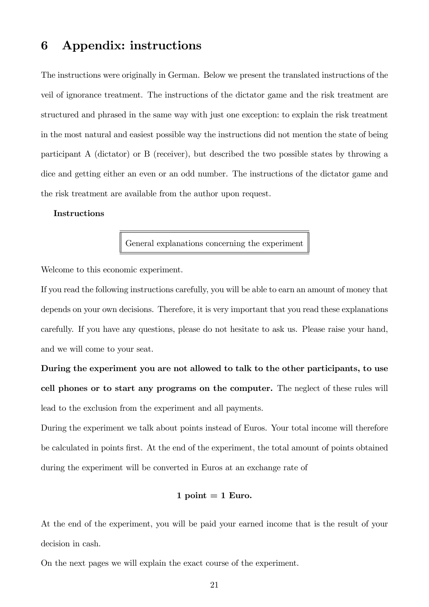# 6 Appendix: instructions

The instructions were originally in German. Below we present the translated instructions of the veil of ignorance treatment. The instructions of the dictator game and the risk treatment are structured and phrased in the same way with just one exception: to explain the risk treatment in the most natural and easiest possible way the instructions did not mention the state of being participant A (dictator) or B (receiver), but described the two possible states by throwing a dice and getting either an even or an odd number. The instructions of the dictator game and the risk treatment are available from the author upon request.

### Instructions

General explanations concerning the experiment

Welcome to this economic experiment.

If you read the following instructions carefully, you will be able to earn an amount of money that depends on your own decisions. Therefore, it is very important that you read these explanations carefully. If you have any questions, please do not hesitate to ask us. Please raise your hand, and we will come to your seat.

During the experiment you are not allowed to talk to the other participants, to use cell phones or to start any programs on the computer. The neglect of these rules will lead to the exclusion from the experiment and all payments.

During the experiment we talk about points instead of Euros. Your total income will therefore be calculated in points Örst. At the end of the experiment, the total amount of points obtained during the experiment will be converted in Euros at an exchange rate of

#### 1 point  $= 1$  Euro.

At the end of the experiment, you will be paid your earned income that is the result of your decision in cash.

On the next pages we will explain the exact course of the experiment.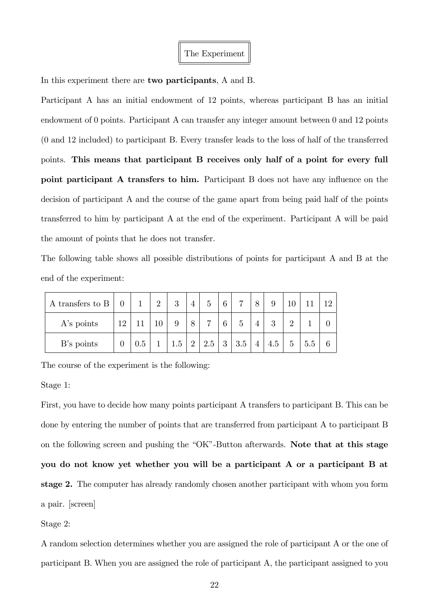In this experiment there are two participants, A and B.

Participant A has an initial endowment of 12 points, whereas participant B has an initial endowment of 0 points. Participant A can transfer any integer amount between 0 and 12 points (0 and 12 included) to participant B. Every transfer leads to the loss of half of the transferred points. This means that participant B receives only half of a point for every full point participant A transfers to him. Participant B does not have any influence on the decision of participant A and the course of the game apart from being paid half of the points transferred to him by participant A at the end of the experiment. Participant A will be paid the amount of points that he does not transfer.

The following table shows all possible distributions of points for participant A and B at the end of the experiment:

| A transfers to $\mathbf B$ |          | $\mathbf{1}$ | $\Omega$ | 3   | 4              | $\overline{5}$ | 6 | $\overline{ }$ | 8              | 9   |          |     |  |
|----------------------------|----------|--------------|----------|-----|----------------|----------------|---|----------------|----------------|-----|----------|-----|--|
| $A$ 's points              | 12       |              |          |     | 8              | ⇁              | 6 | 5              |                | 2   | $\Omega$ |     |  |
| B's points                 | $\theta$ | 0.5          |          | 1.5 | $\overline{2}$ | 2.5            | 3 | 3.5            | $\overline{4}$ | 4.5 | 5        | 5.5 |  |

The course of the experiment is the following:

Stage 1:

First, you have to decide how many points participant A transfers to participant B. This can be done by entering the number of points that are transferred from participant A to participant B on the following screen and pushing the  $O<sup>*</sup>O<sub>K</sub>$ <sup>n</sup>-Button afterwards. Note that at this stage you do not know yet whether you will be a participant A or a participant B at stage 2. The computer has already randomly chosen another participant with whom you form a pair. [screen]

Stage 2:

A random selection determines whether you are assigned the role of participant A or the one of participant B. When you are assigned the role of participant A, the participant assigned to you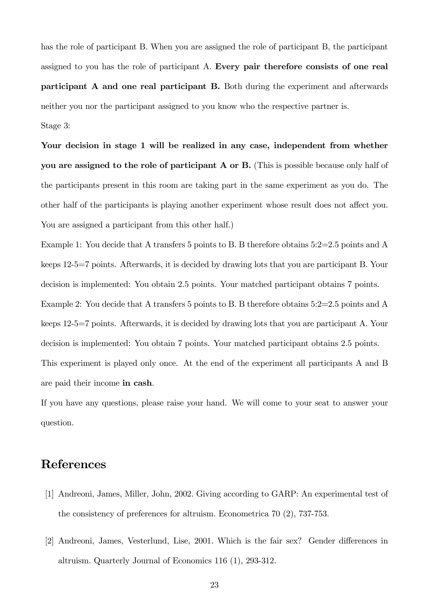has the role of participant B. When you are assigned the role of participant B, the participant assigned to you has the role of participant A. Every pair therefore consists of one real participant A and one real participant B. Both during the experiment and afterwards neither you nor the participant assigned to you know who the respective partner is. Stage 3:

Your decision in stage 1 will be realized in any case, independent from whether you are assigned to the role of participant A or B. (This is possible because only half of the participants present in this room are taking part in the same experiment as you do. The other half of the participants is playing another experiment whose result does not affect you. You are assigned a participant from this other half.)

Example 1: You decide that A transfers 5 points to B. B therefore obtains 5:2=2.5 points and A keeps 12-5=7 points. Afterwards, it is decided by drawing lots that you are participant B. Your decision is implemented: You obtain 2.5 points. Your matched participant obtains 7 points. Example 2: You decide that A transfers 5 points to B. B therefore obtains 5:2=2.5 points and A keeps 12-5=7 points. Afterwards, it is decided by drawing lots that you are participant A. Your decision is implemented: You obtain 7 points. Your matched participant obtains 2.5 points. This experiment is played only once. At the end of the experiment all participants A and B are paid their income in cash.

If you have any questions, please raise your hand. We will come to your seat to answer your question.

# References

- [1] Andreoni, James, Miller, John, 2002. Giving according to GARP: An experimental test of the consistency of preferences for altruism. Econometrica 70 (2), 737-753.
- [2] Andreoni, James, Vesterlund, Lise, 2001. Which is the fair sex? Gender differences in altruism. Quarterly Journal of Economics 116 (1), 293-312.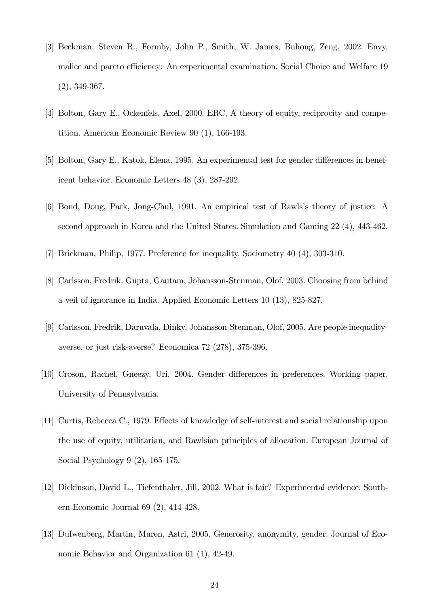- [3] Beckman, Steven R., Formby, John P., Smith, W. James, Buhong, Zeng, 2002. Envy, malice and pareto efficiency: An experimental examination. Social Choice and Welfare 19 (2), 349-367.
- [4] Bolton, Gary E., Ockenfels, Axel, 2000. ERC, A theory of equity, reciprocity and competition. American Economic Review 90 (1), 166-193.
- [5] Bolton, Gary E., Katok, Elena, 1995. An experimental test for gender differences in beneficent behavior. Economic Letters 48 (3), 287-292.
- [6] Bond, Doug, Park, Jong-Chul, 1991. An empirical test of Rawls's theory of justice: A second approach in Korea and the United States. Simulation and Gaming 22 (4), 443-462.
- [7] Brickman, Philip, 1977. Preference for inequality. Sociometry 40 (4), 303-310.
- [8] Carlsson, Fredrik, Gupta, Gautam, Johansson-Stenman, Olof, 2003. Choosing from behind a veil of ignorance in India. Applied Economic Letters 10 (13), 825-827.
- [9] Carlsson, Fredrik, Daruvala, Dinky, Johansson-Stenman, Olof, 2005. Are people inequalityaverse, or just risk-averse? Economica 72 (278), 375-396.
- [10] Croson, Rachel, Gneezy, Uri, 2004. Gender differences in preferences. Working paper, University of Pennsylvania.
- [11] Curtis, Rebecca C., 1979. Effects of knowledge of self-interest and social relationship upon the use of equity, utilitarian, and Rawlsian principles of allocation. European Journal of Social Psychology 9 (2), 165-175.
- [12] Dickinson, David L., Tiefenthaler, Jill, 2002. What is fair? Experimental evidence. Southern Economic Journal 69 (2), 414-428.
- [13] Dufwenberg, Martin, Muren, Astri, 2005. Generosity, anonymity, gender. Journal of Economic Behavior and Organization 61 (1), 42-49.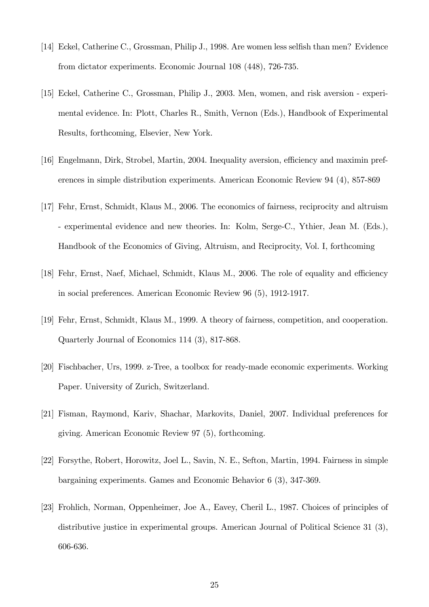- [14] Eckel, Catherine C., Grossman, Philip J., 1998. Are women less selfish than men? Evidence from dictator experiments. Economic Journal 108 (448), 726-735.
- [15] Eckel, Catherine C., Grossman, Philip J., 2003. Men, women, and risk aversion experimental evidence. In: Plott, Charles R., Smith, Vernon (Eds.), Handbook of Experimental Results, forthcoming, Elsevier, New York.
- [16] Engelmann, Dirk, Strobel, Martin, 2004. Inequality aversion, efficiency and maximin preferences in simple distribution experiments. American Economic Review 94 (4), 857-869
- [17] Fehr, Ernst, Schmidt, Klaus M., 2006. The economics of fairness, reciprocity and altruism - experimental evidence and new theories. In: Kolm, Serge-C., Ythier, Jean M. (Eds.), Handbook of the Economics of Giving, Altruism, and Reciprocity, Vol. I, forthcoming
- [18] Fehr, Ernst, Naef, Michael, Schmidt, Klaus M., 2006. The role of equality and efficiency in social preferences. American Economic Review 96 (5), 1912-1917.
- [19] Fehr, Ernst, Schmidt, Klaus M., 1999. A theory of fairness, competition, and cooperation. Quarterly Journal of Economics 114 (3), 817-868.
- [20] Fischbacher, Urs, 1999. z-Tree, a toolbox for ready-made economic experiments. Working Paper. University of Zurich, Switzerland.
- [21] Fisman, Raymond, Kariv, Shachar, Markovits, Daniel, 2007. Individual preferences for giving. American Economic Review 97 (5), forthcoming.
- [22] Forsythe, Robert, Horowitz, Joel L., Savin, N. E., Sefton, Martin, 1994. Fairness in simple bargaining experiments. Games and Economic Behavior 6 (3), 347-369.
- [23] Frohlich, Norman, Oppenheimer, Joe A., Eavey, Cheril L., 1987. Choices of principles of distributive justice in experimental groups. American Journal of Political Science 31 (3), 606-636.